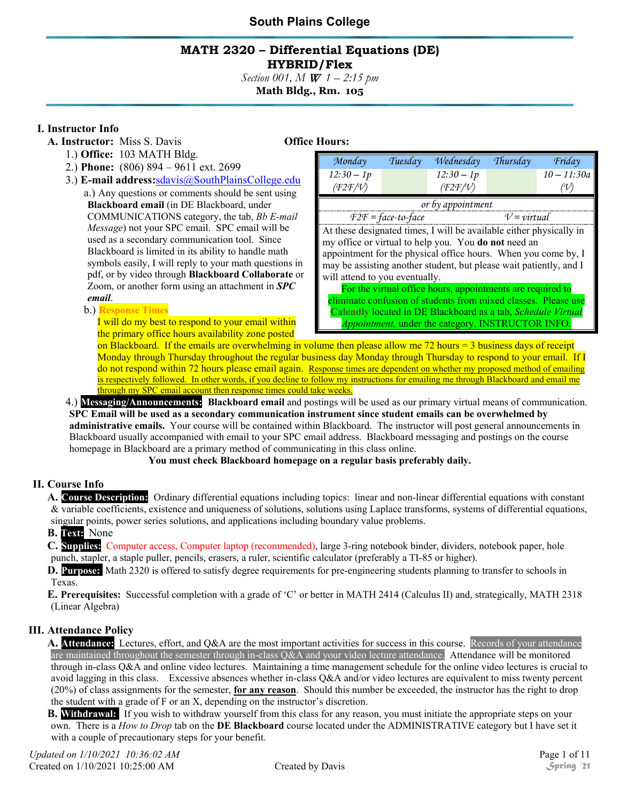#### **MATH 2320 – Differential Equations (DE) HYBRID/Flex**

*Section 001, M* W *1 – 2:15 pm* **Math Bldg., Rm. 105**

#### **I. Instructor Info**

- **A. Instructor:** Miss S. Davis **Office Hours:** 
	- 1.) **Office:** 103 MATH Bldg.
	- 2.) **Phone:** (806) 894 9611 ext. 2699
	- 3.) **E-mail address:**[sdavis@SouthPlainsCollege.edu](mailto:sdavis@spc.cc.tx.us) a.) Any questions or comments should be sent using **Blackboard email** (in DE Blackboard, under COMMUNICATIONS category, the tab, *Bb E-mail Message*) not your SPC email. SPC email will be used as a secondary communication tool. Since Blackboard is limited in its ability to handle math symbols easily, I will reply to your math questions in pdf, or by video through **Blackboard Collaborate** or Zoom, or another form using an attachment in *SPC email*.

#### b.) **Response Times**

I will do my best to respond to your email within the primary office hours availability zone posted

| Monday                                                              | Tuesday | Wednesday     | Thursday | Friday        |
|---------------------------------------------------------------------|---------|---------------|----------|---------------|
| $12:30 - 1p$                                                        |         | $12:30 - 1p$  |          | $10 - 11:30a$ |
| (T2F/V)                                                             |         | (F2F/V)       |          | (V)           |
| or by appointment                                                   |         |               |          |               |
| $F2F = face-to-face$                                                |         | $V = virtual$ |          |               |
| At these designated times, I will be available either physically in |         |               |          |               |

my office or virtual to help you. You **do not** need an appointment for the physical office hours. When you come by, I may be assisting another student, but please wait patiently, and I will attend to you eventually.

For the virtual office hours, appointments are required to eliminate confusion of students from mixed classes. Please use **Calendly** located in DE Blackboard as a tab, *Schedule Virtual Appointment,* under the category, INSTRUCTOR INFO.

on Blackboard. If the emails are overwhelming in volume then please allow me 72 hours = 3 business days of receipt Monday through Thursday throughout the regular business day Monday through Thursday to respond to your email. If I do not respond within 72 hours please email again. Response times are dependent on whether my proposed method of emailing is respectively followed. In other words, if you decline to follow my instructions for emailing me through Blackboard and email me through my SPC email account then response times could take weeks.

4.) **Messaging/Announcements: Blackboard email** and postings will be used as our primary virtual means of communication. **SPC Email will be used as a secondary communication instrument since student emails can be overwhelmed by administrative emails.** Your course will be contained within Blackboard. The instructor will post general announcements in Blackboard usually accompanied with email to your SPC email address. Blackboard messaging and postings on the course homepage in Blackboard are a primary method of communicating in this class online.

**You must check Blackboard homepage on a regular basis preferably daily.**

#### **II. Course Info**

**A. Course Description:** Ordinary differential equations including topics: linear and non-linear differential equations with constant & variable coefficients, existence and uniqueness of solutions, solutions using Laplace transforms, systems of differential equations, singular points, power series solutions, and applications including boundary value problems.

#### **B. Text:** None

**C. Supplies:** Computer access, Computer laptop (recommended), large 3-ring notebook binder, dividers, notebook paper, hole punch, stapler, a staple puller, pencils, erasers, a ruler, scientific calculator (preferably a TI-85 or higher).

**D. Purpose:** Math 2320 is offered to satisfy degree requirements for pre-engineering students planning to transfer to schools in Texas.

**E. Prerequisites:** Successful completion with a grade of 'C' or better in MATH 2414 (Calculus II) and, strategically, MATH 2318 (Linear Algebra)

#### **III. Attendance Policy**

**A. Attendance:** Lectures, effort, and Q&A are the most important activities for success in this course. Records of your attendance are maintained throughout the semester through in-class Q&A and your video lecture attendance. Attendance will be monitored through in-class Q&A and online video lectures. Maintaining a time management schedule for the online video lectures is crucial to avoid lagging in this class. Excessive absences whether in-class Q&A and/or video lectures are equivalent to miss twenty percent (20%) of class assignments for the semester, **for any reason**. Should this number be exceeded, the instructor has the right to drop the student with a grade of F or an X, depending on the instructor's discretion.

**B. Withdrawal:** If you wish to withdraw yourself from this class for any reason, you must initiate the appropriate steps on your own. There is a *How to Drop* tab on the **DE Blackboard** course located under the ADMINISTRATIVE category but I have set it with a couple of precautionary steps for your benefit.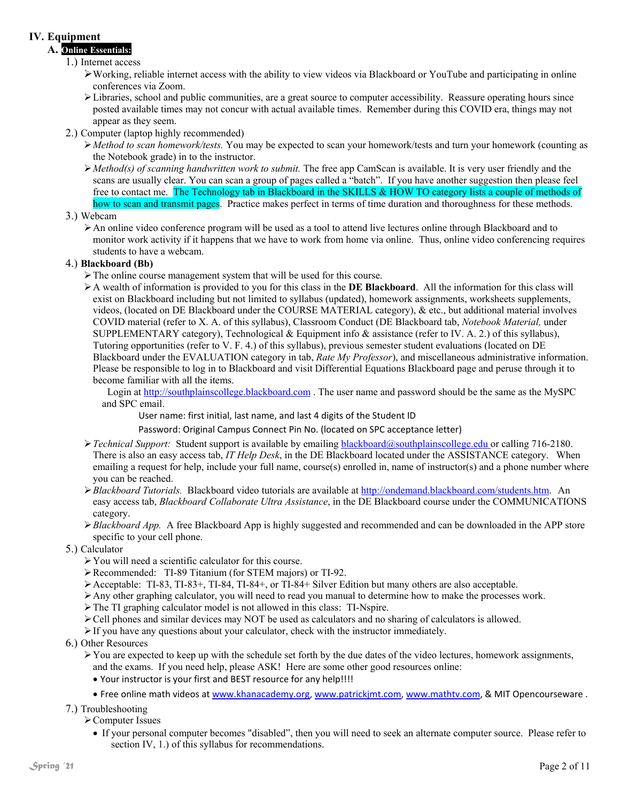#### **IV. Equipment**

### **A. Online Essentials:**

#### 1.) Internet access

- Working, reliable internet access with the ability to view videos via Blackboard or YouTube and participating in online conferences via Zoom.
- Libraries, school and public communities, are a great source to computer accessibility. Reassure operating hours since posted available times may not concur with actual available times. Remember during this COVID era, things may not appear as they seem.
- 2.) Computer (laptop highly recommended)
	- *Method to scan homework/tests.* You may be expected to scan your homework/tests and turn your homework (counting as the Notebook grade) in to the instructor.
	- *Method(s) of scanning handwritten work to submit.* The free app CamScan is available. It is very user friendly and the scans are usually clear. You can scan a group of pages called a "batch". If you have another suggestion then please feel free to contact me. The Technology tab in Blackboard in the SKILLS & HOW TO category lists a couple of methods of how to scan and transmit pages. Practice makes perfect in terms of time duration and thoroughness for these methods.
- 3.) Webcam
	- An online video conference program will be used as a tool to attend live lectures online through Blackboard and to monitor work activity if it happens that we have to work from home via online. Thus, online video conferencing requires students to have a webcam.

#### 4.) **Blackboard (Bb)**

- $\triangleright$  The online course management system that will be used for this course.
- A wealth of information is provided to you for this class in the **DE Blackboard**. All the information for this class will exist on Blackboard including but not limited to syllabus (updated), homework assignments, worksheets supplements, videos, (located on DE Blackboard under the COURSE MATERIAL category), & etc., but additional material involves COVID material (refer to X. A. of this syllabus), Classroom Conduct (DE Blackboard tab, *Notebook Material,* under SUPPLEMENTARY category), Technological & Equipment info & assistance (refer to IV. A. 2.) of this syllabus), Tutoring opportunities (refer to V. F. 4.) of this syllabus), previous semester student evaluations (located on DE Blackboard under the EVALUATION category in tab, *Rate My Professor*), and miscellaneous administrative information. Please be responsible to log in to Blackboard and visit Differential Equations Blackboard page and peruse through it to become familiar with all the items.

Login at [http://southplainscollege.blackboard.com](http://southplainscollege.blackboard.com/). The user name and password should be the same as the MySPC and SPC email.

User name: first initial, last name, and last 4 digits of the Student ID

Password: Original Campus Connect Pin No. (located on SPC acceptance letter)

- *Technical Support:* Student support is available by emailing [blackboard@southplainscollege.edu](mailto:blackboard@southplainscollege.edu) or calling 716-2180. There is also an easy access tab, *IT Help Desk*, in the DE Blackboard located under the ASSISTANCE category. When emailing a request for help, include your full name, course(s) enrolled in, name of instructor(s) and a phone number where you can be reached.
- *Blackboard Tutorials.* Blackboard video tutorials are available a[t http://ondemand.blackboard.com/students.htm.](http://ondemand.blackboard.com/students.htm) An easy access tab, *Blackboard Collaborate Ultra Assistance*, in the DE Blackboard course under the COMMUNICATIONS category.
- *Blackboard App.* A free Blackboard App is highly suggested and recommended and can be downloaded in the APP store specific to your cell phone.
- 5.) Calculator
	- You will need a scientific calculator for this course.
	- Recommended: TI-89 Titanium (for STEM majors) or TI-92.
	- Acceptable: TI-83, TI-83+, TI-84, TI-84+, or TI-84+ Silver Edition but many others are also acceptable.
	- Any other graphing calculator, you will need to read you manual to determine how to make the processes work.
	- The TI graphing calculator model is not allowed in this class: TI-Nspire.
	- Cell phones and similar devices may NOT be used as calculators and no sharing of calculators is allowed.
	- $\triangleright$  If you have any questions about your calculator, check with the instructor immediately.
- 6.) Other Resources
	- $\triangleright$  You are expected to keep up with the schedule set forth by the due dates of the video lectures, homework assignments, and the exams. If you need help, please ASK! Here are some other good resources online:
		- Your instructor is your first and BEST resource for any help!!!!
		- Free online math videos a[t www.khanacademy.org,](http://www.khanacademy.org/) [www.patrickjmt.com,](http://www.patrickjmt.com/) [www.mathtv.com,](http://www.mathtv.com/) & MIT Opencourseware .
- 7.) Troubleshooting

#### Computer Issues

• If your personal computer becomes "disabled", then you will need to seek an alternate computer source. Please refer to section IV, 1.) of this syllabus for recommendations.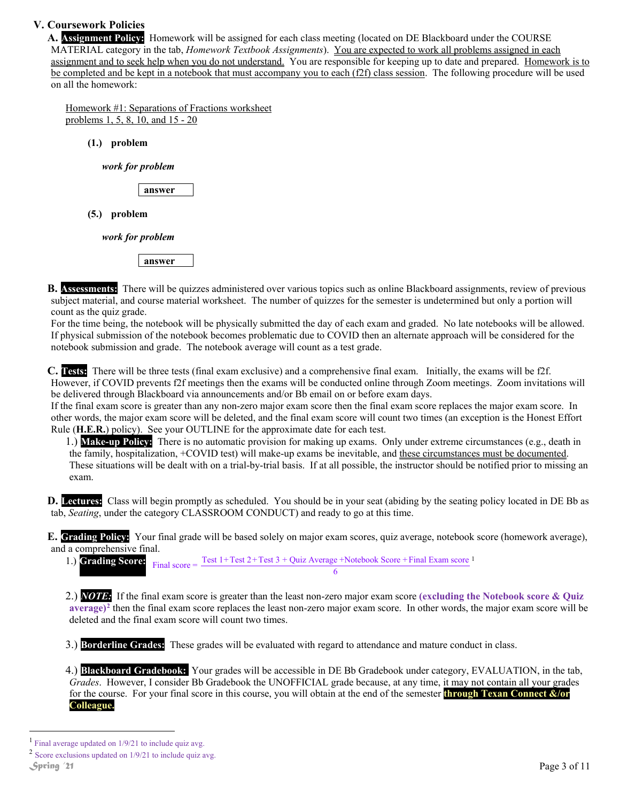#### **V. Coursework Policies**

**A. Assignment Policy:** Homework will be assigned for each class meeting (located on DE Blackboard under the COURSE MATERIAL category in the tab, *Homework Textbook Assignments*). You are expected to work all problems assigned in each assignment and to seek help when you do not understand. You are responsible for keeping up to date and prepared. Homework is to be completed and be kept in a notebook that must accompany you to each (f2f) class session. The following procedure will be used on all the homework:

Homework #1: Separations of Fractions worksheet problems 1, 5, 8, 10, and 15 - 20

**(1.) problem**

*work for problem*

**answer**

**(5.) problem**

*work for problem*

**answer**

**B. Assessments:** There will be quizzes administered over various topics such as online Blackboard assignments, review of previous subject material, and course material worksheet. The number of quizzes for the semester is undetermined but only a portion will count as the quiz grade.

For the time being, the notebook will be physically submitted the day of each exam and graded. No late notebooks will be allowed. If physical submission of the notebook becomes problematic due to COVID then an alternate approach will be considered for the notebook submission and grade. The notebook average will count as a test grade.

**C. Tests:** There will be three tests (final exam exclusive) and a comprehensive final exam. Initially, the exams will be f2f. However, if COVID prevents f2f meetings then the exams will be conducted online through Zoom meetings. Zoom invitations will be delivered through Blackboard via announcements and/or Bb email on or before exam days.

If the final exam score is greater than any non-zero major exam score then the final exam score replaces the major exam score. In other words, the major exam score will be deleted, and the final exam score will count two times (an exception is the Honest Effort Rule (**H.E.R.**) policy). See your OUTLINE for the approximate date for each test.

1.) **Make-up Policy:** There is no automatic provision for making up exams. Only under extreme circumstances (e.g., death in the family, hospitalization, +COVID test) will make-up exams be inevitable, and these circumstances must be documented. These situations will be dealt with on a trial-by-trial basis. If at all possible, the instructor should be notified prior to missing an exam.

**D. Lectures:** Class will begin promptly as scheduled. You should be in your seat (abiding by the seating policy located in DE Bb as tab, *Seating*, under the category CLASSROOM CONDUCT) and ready to go at this time.

**E. Grading Policy:** Your final grade will be based solely on major exam scores, quiz average, notebook score (homework average), and a comprehensive final.

[1](#page-2-0).) **Grading Score:** Final score =  $\frac{\text{Test 1+Test 2+Test 3 + Quiz Average +Notebook Score + Final Exam score 1}}{\sqrt{1 + \frac{1}{\sqrt{1 + \frac{1}{\sqrt{1 + \frac{1}{\sqrt{1 + \frac{1}{\sqrt{1 + \frac{1}{\sqrt{1 + \frac{1}{\sqrt{1 + \frac{1}{\sqrt{1 + \frac{1}{\sqrt{1 + \frac{1}{\sqrt{1 + \frac{1}{\sqrt{1 + \frac{1}{\sqrt{1 + \frac{1}{\sqrt{1 + \frac{1}{\sqrt{1 + \frac{1}{\sqrt{1 + \frac{1}{\sqrt{1 +$ 6

2.) *NOTE:* If the final exam score is greater than the least non-zero major exam score **(excluding the Notebook score & Quiz average)[2](#page-2-1)** then the final exam score replaces the least non-zero major exam score. In other words, the major exam score will be deleted and the final exam score will count two times.

3.) **Borderline Grades:** These grades will be evaluated with regard to attendance and mature conduct in class.

4.) **Blackboard Gradebook:** Your grades will be accessible in DE Bb Gradebook under category, EVALUATION, in the tab, *Grades*. However, I consider Bb Gradebook the UNOFFICIAL grade because, at any time, it may not contain all your grades for the course. For your final score in this course, you will obtain at the end of the semester **through Texan Connect &/or Colleague.**

<span id="page-2-0"></span><sup>&</sup>lt;sup>1</sup> Final average updated on  $1/9/21$  to include quiz avg.

<span id="page-2-1"></span><sup>2</sup> Score exclusions updated on 1/9/21 to include quiz avg.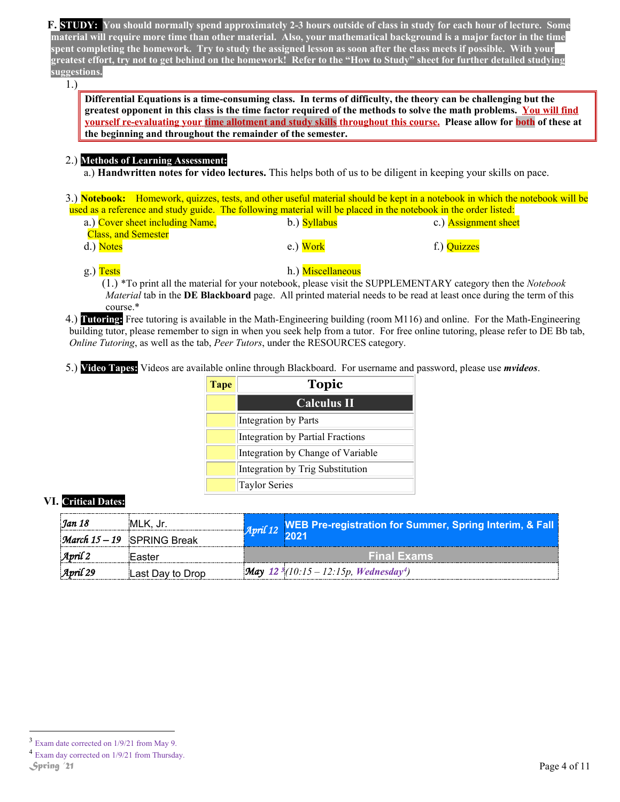**F. STUDY: You should normally spend approximately 2-3 hours outside of class in study for each hour of lecture. Some material will require more time than other material. Also, your mathematical background is a major factor in the time spent completing the homework. Try to study the assigned lesson as soon after the class meets if possible. With your greatest effort, try not to get behind on the homework! Refer to the "How to Study" sheet for further detailed studying suggestions.**

1.)

**Differential Equations is a time-consuming class. In terms of difficulty, the theory can be challenging but the greatest opponent in this class is the time factor required of the methods to solve the math problems. You will find yourself re-evaluating your time allotment and study skills throughout this course. Please allow for both of these at the beginning and throughout the remainder of the semester.**

#### 2.) **Methods of Learning Assessment:**

a.) **Handwritten notes for video lectures.** This helps both of us to be diligent in keeping your skills on pace.

3.) **Notebook:** Homework, quizzes, tests, and other useful material should be kept in a notebook in which the notebook will be used as a reference and study guide. The following material will be placed in the notebook in the order listed:

| a.) Cover sheet including Name, | b.) Syllabus | c.) Assignment sheet |
|---------------------------------|--------------|----------------------|
| <b>Class, and Semester</b>      |              |                      |
| d.) Notes                       | e.) Work     | f.) Quizzes          |

#### g.) Tests h.) Miscellaneous

(1.) \*To print all the material for your notebook, please visit the SUPPLEMENTARY category then the *Notebook Material* tab in the **DE Blackboard** page. All printed material needs to be read at least once during the term of this course.\*

4.) **Tutoring:** Free tutoring is available in the Math-Engineering building (room M116) and online. For the Math-Engineering building tutor, please remember to sign in when you seek help from a tutor. For free online tutoring, please refer to DE Bb tab, *Online Tutoring*, as well as the tab, *Peer Tutors*, under the RESOURCES category.

5.) **Video Tapes:** Videos are available online through Blackboard. For username and password, please use *mvideos*.

| <b>Tape</b> | <b>Topic</b>                      |
|-------------|-----------------------------------|
|             | <b>Calculus II</b>                |
|             | Integration by Parts              |
|             | Integration by Partial Fractions  |
|             | Integration by Change of Variable |
|             | Integration by Trig Substitution  |
|             | Taylor Series                     |

#### **VI. Critical Dates:**

| Jan 18               | :MLK. Jr.                           |                    | April 12 WEB Pre-registration for Summer, Spring Interim, & Fall     |
|----------------------|-------------------------------------|--------------------|----------------------------------------------------------------------|
|                      | <i>March</i> $15 - 19$ SPRING Break |                    | 2021                                                                 |
| $\mathcal{A}$ pril 2 | iEaster                             | <b>Final Exams</b> |                                                                      |
| $\text{April } 29$   | Last Dav to Drop!                   |                    | <b>May</b> 12 <sup>3</sup> (10:15 – 12:15p, Wednesday <sup>4</sup> ) |

<span id="page-3-0"></span> <sup>3</sup> Exam date corrected on 1/9/21 from May 9.

<span id="page-3-1"></span><sup>&</sup>lt;sup>4</sup> Exam day corrected on 1/9/21 from Thursday.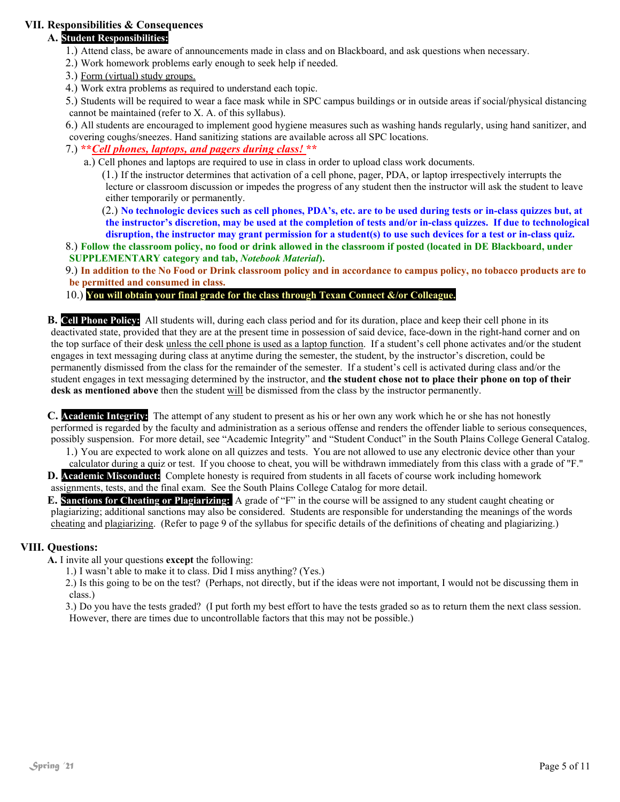#### **VII. Responsibilities & Consequences**

#### **A. Student Responsibilities:**

- 1.) Attend class, be aware of announcements made in class and on Blackboard, and ask questions when necessary.
- 2.) Work homework problems early enough to seek help if needed.
- 3.) Form (virtual) study groups.
- 4.) Work extra problems as required to understand each topic.
- 5.) Students will be required to wear a face mask while in SPC campus buildings or in outside areas if social/physical distancing cannot be maintained (refer to X. A. of this syllabus).
- 6.) All students are encouraged to implement good hygiene measures such as washing hands regularly, using hand sanitizer, and covering coughs/sneezes. Hand sanitizing stations are available across all SPC locations.

#### 7.) **\*\****Cell phones, laptops, and pagers during class!* **\*\***

a.) Cell phones and laptops are required to use in class in order to upload class work documents.

(1.) If the instructor determines that activation of a cell phone, pager, PDA, or laptop irrespectively interrupts the lecture or classroom discussion or impedes the progress of any student then the instructor will ask the student to leave either temporarily or permanently.

(2.) **No technologic devices such as cell phones, PDA's, etc. are to be used during tests or in-class quizzes but, at the instructor's discretion, may be used at the completion of tests and/or in-class quizzes. If due to technological disruption, the instructor may grant permission for a student(s) to use such devices for a test or in-class quiz.** 

#### 8.) **Follow the classroom policy, no food or drink allowed in the classroom if posted (located in DE Blackboard, under SUPPLEMENTARY category and tab,** *Notebook Material***).**

9.) **In addition to the No Food or Drink classroom policy and in accordance to campus policy, no tobacco products are to be permitted and consumed in class.** 

#### 10.) **You will obtain your final grade for the class through Texan Connect &/or Colleague.**

**B. Cell Phone Policy:** All students will, during each class period and for its duration, place and keep their cell phone in its deactivated state, provided that they are at the present time in possession of said device, face-down in the right-hand corner and on the top surface of their desk unless the cell phone is used as a laptop function. If a student's cell phone activates and/or the student engages in text messaging during class at anytime during the semester, the student, by the instructor's discretion, could be permanently dismissed from the class for the remainder of the semester. If a student's cell is activated during class and/or the student engages in text messaging determined by the instructor, and **the student chose not to place their phone on top of their desk as mentioned above** then the student will be dismissed from the class by the instructor permanently.

**C. Academic Integrity:** The attempt of any student to present as his or her own any work which he or she has not honestly performed is regarded by the faculty and administration as a serious offense and renders the offender liable to serious consequences, possibly suspension. For more detail, see "Academic Integrity" and "Student Conduct" in the South Plains College General Catalog.

1.) You are expected to work alone on all quizzes and tests. You are not allowed to use any electronic device other than your

calculator during a quiz or test. If you choose to cheat, you will be withdrawn immediately from this class with a grade of "F." **D. Academic Misconduct:** Complete honesty is required from students in all facets of course work including homework assignments, tests, and the final exam. See the South Plains College Catalog for more detail.

**E. Sanctions for Cheating or Plagiarizing:** A grade of "F" in the course will be assigned to any student caught cheating or plagiarizing; additional sanctions may also be considered. Students are responsible for understanding the meanings of the words cheating and plagiarizing. (Refer to page 9 of the syllabus for specific details of the definitions of cheating and plagiarizing.)

#### **VIII. Questions:**

**A.** I invite all your questions **except** the following:

1.) I wasn't able to make it to class. Did I miss anything? (Yes.)

2.) Is this going to be on the test? (Perhaps, not directly, but if the ideas were not important, I would not be discussing them in class.)

3.) Do you have the tests graded? (I put forth my best effort to have the tests graded so as to return them the next class session. However, there are times due to uncontrollable factors that this may not be possible.)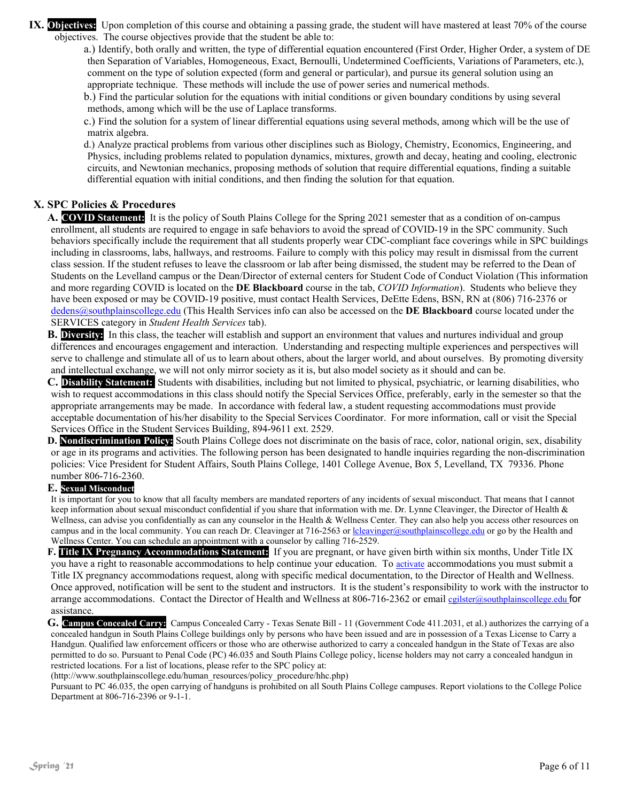**IX. Objectives:** Upon completion of this course and obtaining a passing grade, the student will have mastered at least 70% of the course objectives. The course objectives provide that the student be able to:

a.) Identify, both orally and written, the type of differential equation encountered (First Order, Higher Order, a system of DE then Separation of Variables, Homogeneous, Exact, Bernoulli, Undetermined Coefficients, Variations of Parameters, etc.), comment on the type of solution expected (form and general or particular), and pursue its general solution using an appropriate technique. These methods will include the use of power series and numerical methods.

b.) Find the particular solution for the equations with initial conditions or given boundary conditions by using several methods, among which will be the use of Laplace transforms.

c.) Find the solution for a system of linear differential equations using several methods, among which will be the use of matrix algebra.

d.) Analyze practical problems from various other disciplines such as Biology, Chemistry, Economics, Engineering, and Physics, including problems related to population dynamics, mixtures, growth and decay, heating and cooling, electronic circuits, and Newtonian mechanics, proposing methods of solution that require differential equations, finding a suitable differential equation with initial conditions, and then finding the solution for that equation.

#### **X. SPC Policies & Procedures**

**A. COVID Statement:** It is the policy of South Plains College for the Spring 2021 semester that as a condition of on-campus enrollment, all students are required to engage in safe behaviors to avoid the spread of COVID-19 in the SPC community. Such behaviors specifically include the requirement that all students properly wear CDC-compliant face coverings while in SPC buildings including in classrooms, labs, hallways, and restrooms. Failure to comply with this policy may result in dismissal from the current class session. If the student refuses to leave the classroom or lab after being dismissed, the student may be referred to the Dean of Students on the Levelland campus or the Dean/Director of external centers for Student Code of Conduct Violation (This information and more regarding COVID is located on the **DE Blackboard** course in the tab, *COVID Information*). Students who believe they have been exposed or may be COVID-19 positive, must contact Health Services, DeEtte Edens, BSN, RN at (806) 716-2376 or [dedens@southplainscollege.edu](mailto:dedens@southplainscollege.edu) (This Health Services info can also be accessed on the **DE Blackboard** course located under the SERVICES category in *Student Health Services* tab).

**B. Diversity:** In this class, the teacher will establish and support an environment that values and nurtures individual and group differences and encourages engagement and interaction. Understanding and respecting multiple experiences and perspectives will serve to challenge and stimulate all of us to learn about others, about the larger world, and about ourselves. By promoting diversity and intellectual exchange, we will not only mirror society as it is, but also model society as it should and can be.

**C. Disability Statement:** Students with disabilities, including but not limited to physical, psychiatric, or learning disabilities, who wish to request accommodations in this class should notify the Special Services Office, preferably, early in the semester so that the appropriate arrangements may be made. In accordance with federal law, a student requesting accommodations must provide acceptable documentation of his/her disability to the Special Services Coordinator. For more information, call or visit the Special Services Office in the Student Services Building, 894-9611 ext. 2529.

**D. Nondiscrimination Policy:** South Plains College does not discriminate on the basis of race, color, national origin, sex, disability or age in its programs and activities. The following person has been designated to handle inquiries regarding the non-discrimination policies: Vice President for Student Affairs, South Plains College, 1401 College Avenue, Box 5, Levelland, TX 79336. Phone number 806-716-2360.

#### **E. Sexual Misconduct**

It is important for you to know that all faculty members are mandated reporters of any incidents of sexual misconduct. That means that I cannot keep information about sexual misconduct confidential if you share that information with me. Dr. Lynne Cleavinger, the Director of Health & Wellness, can advise you confidentially as can any counselor in the Health & Wellness Center. They can also help you access other resources on campus and in the local community. You can reach Dr. Cleavinger at 716-2563 o[r lcleavinger@southplainscollege.edu](mailto:lcleavinger@southplainscollege.edu) or go by the Health and Wellness Center. You can schedule an appointment with a counselor by calling 716-2529.

**F. Title IX Pregnancy Accommodations Statement:** If you are pregnant, or have given birth within six months, Under Title IX you have a right to reasonable accommodations to help continue your education. To [activate](http://www.southplainscollege.edu/employees/manualshandbooks/facultyhandbook/sec4.php) accommodations you must submit a Title IX pregnancy accommodations request, along with specific medical documentation, to the Director of Health and Wellness. Once approved, notification will be sent to the student and instructors. It is the student's responsibility to work with the instructor to arrange accommodations. Contact the Director of Health and Wellness at 806-716-2362 or [email](http://www.southplainscollege.edu/employees/manualshandbooks/facultyhandbook/sec4.php) [cgilster@southplainscollege.edu](mailto:cgilster@southplainscollege.edu) for assistance.

**G. Campus Concealed Carry:** Campus Concealed Carry - Texas Senate Bill - 11 (Government Code 411.2031, et al.) authorizes the carrying of a concealed handgun in South Plains College buildings only by persons who have been issued and are in possession of a Texas License to Carry a Handgun. Qualified law enforcement officers or those who are otherwise authorized to carry a concealed handgun in the State of Texas are also permitted to do so. Pursuant to Penal Code (PC) 46.035 and South Plains College policy, license holders may not carry a concealed handgun in restricted locations. For a list of locations, please refer to the SPC policy at:

[\(http://www.southplainscollege.edu/human\\_resources/policy\\_procedure/hhc.php\)](http://www.southplainscollege.edu/human_resources/policy_procedure/hhc.php)

Pursuant to PC 46.035, the open carrying of handguns is prohibited on all South Plains College campuses. Report violations to the College Police Department at 806-716-2396 or 9-1-1.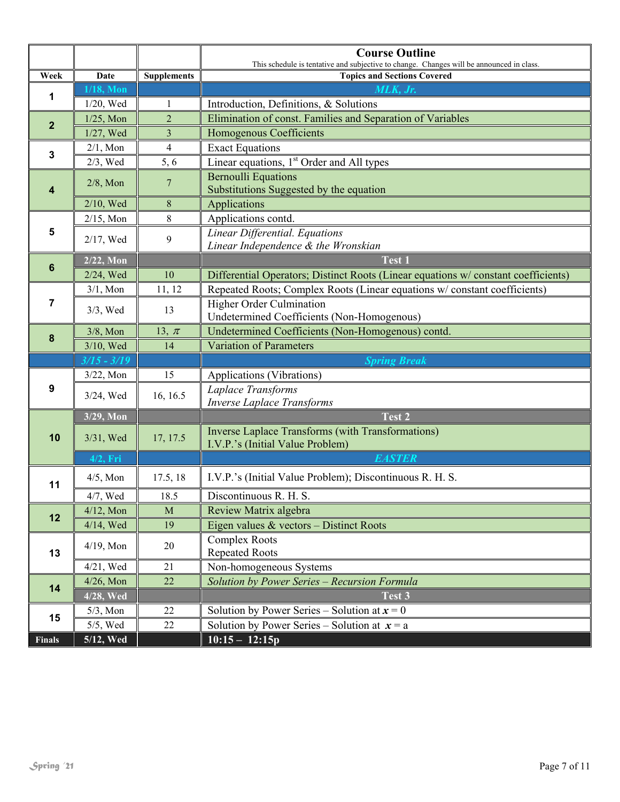|                         |               |                    | <b>Course Outline</b>                                                                                                          |
|-------------------------|---------------|--------------------|--------------------------------------------------------------------------------------------------------------------------------|
| Week                    | Date          | <b>Supplements</b> | This schedule is tentative and subjective to change. Changes will be announced in class.<br><b>Topics and Sections Covered</b> |
|                         | $1/18$ , Mon  |                    | MLK, Jr.                                                                                                                       |
| 1                       | 1/20, Wed     | 1                  | Introduction, Definitions, & Solutions                                                                                         |
| $\overline{2}$          | $1/25$ , Mon  | $\overline{2}$     | Elimination of const. Families and Separation of Variables                                                                     |
|                         | 1/27, Wed     | 3                  | <b>Homogenous Coefficients</b>                                                                                                 |
|                         | $2/1$ , Mon   | $\overline{4}$     | <b>Exact Equations</b>                                                                                                         |
| $\mathbf{3}$            | 2/3, Wed      | 5, 6               | Linear equations, 1 <sup>st</sup> Order and All types                                                                          |
| $\overline{\mathbf{4}}$ | $2/8$ , Mon   | 7                  | <b>Bernoulli Equations</b><br>Substitutions Suggested by the equation                                                          |
|                         | 2/10, Wed     | 8                  | Applications                                                                                                                   |
|                         | $2/15$ , Mon  | $8\,$              | Applications contd.                                                                                                            |
| 5                       | 2/17, Wed     | 9                  | Linear Differential. Equations<br>Linear Independence & the Wronskian                                                          |
| $6\phantom{1}$          | 2/22, Mon     |                    | Test 1                                                                                                                         |
|                         | 2/24, Wed     | 10                 | Differential Operators; Distinct Roots (Linear equations w/constant coefficients)                                              |
|                         | $3/1$ , Mon   | 11, 12             | Repeated Roots; Complex Roots (Linear equations w/ constant coefficients)                                                      |
| 7                       | $3/3$ , Wed   | 13                 | <b>Higher Order Culmination</b><br>Undetermined Coefficients (Non-Homogenous)                                                  |
| $\pmb{8}$               | $3/8$ , Mon   | 13, $\pi$          | Undetermined Coefficients (Non-Homogenous) contd.                                                                              |
|                         | 3/10, Wed     | 14                 | <b>Variation of Parameters</b>                                                                                                 |
|                         | $3/15 - 3/19$ |                    | <b>Spring Break</b>                                                                                                            |
|                         | $3/22$ , Mon  | 15                 | Applications (Vibrations)                                                                                                      |
| 9                       | 3/24, Wed     | 16, 16.5           | Laplace Transforms<br><b>Inverse Laplace Transforms</b>                                                                        |
|                         | 3/29, Mon     |                    | Test 2                                                                                                                         |
| 10                      | 3/31, Wed     | 17, 17.5           | Inverse Laplace Transforms (with Transformations)<br>I.V.P.'s (Initial Value Problem)                                          |
|                         | $4/2$ , Fri   |                    | <b>EASTER</b>                                                                                                                  |
| 11                      | $4/5$ , Mon   | 17.5, 18           | I.V.P.'s (Initial Value Problem); Discontinuous R. H. S.                                                                       |
|                         | 4/7, Wed      | 18.5               | Discontinuous R. H. S.                                                                                                         |
| 12                      | $4/12$ , Mon  | M                  | Review Matrix algebra                                                                                                          |
|                         | 4/14, Wed     | 19                 | Eigen values & vectors - Distinct Roots                                                                                        |
| 13                      | $4/19$ , Mon  | 20                 | <b>Complex Roots</b><br><b>Repeated Roots</b>                                                                                  |
|                         | 4/21, Wed     | 21                 | Non-homogeneous Systems                                                                                                        |
| 14                      | $4/26$ , Mon  | 22                 | Solution by Power Series - Recursion Formula                                                                                   |
|                         | 4/28, Wed     |                    | Test 3                                                                                                                         |
| 15                      | $5/3$ , Mon   | 22                 | Solution by Power Series – Solution at $x = 0$                                                                                 |
|                         | $5/5$ , Wed   | $22\,$             | Solution by Power Series – Solution at $x = a$                                                                                 |
| <b>Finals</b>           | 5/12, Wed     |                    | $10:15 - 12:15p$                                                                                                               |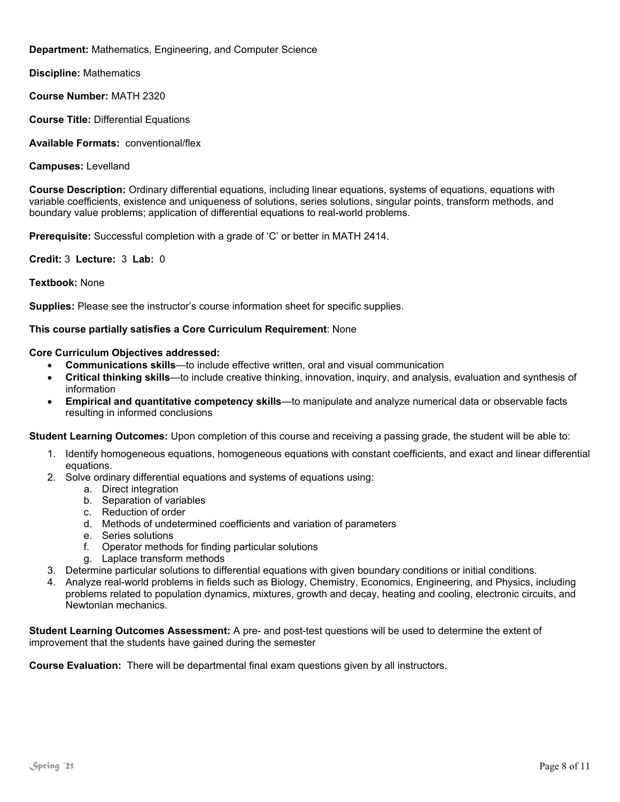**Department:** Mathematics, Engineering, and Computer Science

**Discipline:** Mathematics

**Course Number:** MATH 2320

**Course Title:** Differential Equations

**Available Formats:** conventional/flex

**Campuses:** Levelland

**Course Description:** Ordinary differential equations, including linear equations, systems of equations, equations with variable coefficients, existence and uniqueness of solutions, series solutions, singular points, transform methods, and boundary value problems; application of differential equations to real-world problems.

**Prerequisite:** Successful completion with a grade of 'C' or better in MATH 2414.

**Credit:** 3 **Lecture:** 3 **Lab:** 0

**Textbook:** None

**Supplies:** Please see the instructor's course information sheet for specific supplies.

#### **This course partially satisfies a Core Curriculum Requirement**: None

#### **Core Curriculum Objectives addressed:**

- **Communications skills**—to include effective written, oral and visual communication
- **Critical thinking skills**—to include creative thinking, innovation, inquiry, and analysis, evaluation and synthesis of information
- **Empirical and quantitative competency skills**—to manipulate and analyze numerical data or observable facts resulting in informed conclusions

**Student Learning Outcomes:** Upon completion of this course and receiving a passing grade, the student will be able to:

- 1. Identify homogeneous equations, homogeneous equations with constant coefficients, and exact and linear differential equations.
- 2. Solve ordinary differential equations and systems of equations using:
	- a. Direct integration
	- b. Separation of variables
	- c. Reduction of order
	- d. Methods of undetermined coefficients and variation of parameters
	- e. Series solutions
	- f. Operator methods for finding particular solutions
	- g. Laplace transform methods
- 3. Determine particular solutions to differential equations with given boundary conditions or initial conditions.
- 4. Analyze real-world problems in fields such as Biology, Chemistry, Economics, Engineering, and Physics, including problems related to population dynamics, mixtures, growth and decay, heating and cooling, electronic circuits, and Newtonian mechanics.

**Student Learning Outcomes Assessment:** A pre- and post-test questions will be used to determine the extent of improvement that the students have gained during the semester

**Course Evaluation:** There will be departmental final exam questions given by all instructors.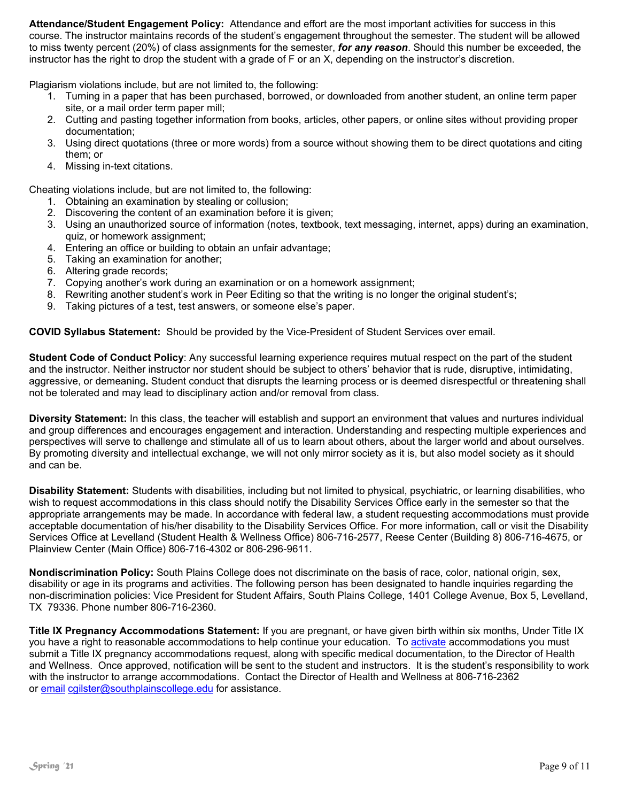**Attendance/Student Engagement Policy:** Attendance and effort are the most important activities for success in this course. The instructor maintains records of the student's engagement throughout the semester. The student will be allowed to miss twenty percent (20%) of class assignments for the semester, *for any reason*. Should this number be exceeded, the instructor has the right to drop the student with a grade of F or an X, depending on the instructor's discretion.

Plagiarism violations include, but are not limited to, the following:

- 1. Turning in a paper that has been purchased, borrowed, or downloaded from another student, an online term paper site, or a mail order term paper mill;
- 2. Cutting and pasting together information from books, articles, other papers, or online sites without providing proper documentation;
- 3. Using direct quotations (three or more words) from a source without showing them to be direct quotations and citing them; or
- 4. Missing in-text citations.

Cheating violations include, but are not limited to, the following:

- 1. Obtaining an examination by stealing or collusion;
- 2. Discovering the content of an examination before it is given;
- 3. Using an unauthorized source of information (notes, textbook, text messaging, internet, apps) during an examination, quiz, or homework assignment;
- 4. Entering an office or building to obtain an unfair advantage;
- 5. Taking an examination for another;
- 6. Altering grade records;
- 7. Copying another's work during an examination or on a homework assignment;
- 8. Rewriting another student's work in Peer Editing so that the writing is no longer the original student's;
- 9. Taking pictures of a test, test answers, or someone else's paper.

**COVID Syllabus Statement:** Should be provided by the Vice-President of Student Services over email.

**Student Code of Conduct Policy**: Any successful learning experience requires mutual respect on the part of the student and the instructor. Neither instructor nor student should be subject to others' behavior that is rude, disruptive, intimidating, aggressive, or demeaning**.** Student conduct that disrupts the learning process or is deemed disrespectful or threatening shall not be tolerated and may lead to disciplinary action and/or removal from class.

**Diversity Statement:** In this class, the teacher will establish and support an environment that values and nurtures individual and group differences and encourages engagement and interaction. Understanding and respecting multiple experiences and perspectives will serve to challenge and stimulate all of us to learn about others, about the larger world and about ourselves. By promoting diversity and intellectual exchange, we will not only mirror society as it is, but also model society as it should and can be.

**Disability Statement:** Students with disabilities, including but not limited to physical, psychiatric, or learning disabilities, who wish to request accommodations in this class should notify the Disability Services Office early in the semester so that the appropriate arrangements may be made. In accordance with federal law, a student requesting accommodations must provide acceptable documentation of his/her disability to the Disability Services Office. For more information, call or visit the Disability Services Office at Levelland (Student Health & Wellness Office) 806-716-2577, Reese Center (Building 8) 806-716-4675, or Plainview Center (Main Office) 806-716-4302 or 806-296-9611.

**Nondiscrimination Policy:** South Plains College does not discriminate on the basis of race, color, national origin, sex, disability or age in its programs and activities. The following person has been designated to handle inquiries regarding the non-discrimination policies: Vice President for Student Affairs, South Plains College, 1401 College Avenue, Box 5, Levelland, TX 79336. Phone number 806-716-2360.

**Title IX Pregnancy Accommodations Statement:** If you are pregnant, or have given birth within six months, Under Title IX you have a right to reasonable accommodations to help continue your education. To [activate](http://www.southplainscollege.edu/employees/manualshandbooks/facultyhandbook/sec4.php) accommodations you must submit a Title IX pregnancy accommodations request, along with specific medical documentation, to the Director of Health and Wellness. Once approved, notification will be sent to the student and instructors. It is the student's responsibility to work with the instructor to arrange accommodations. Contact the Director of Health and Wellness at 806-716-2362 or [email](http://www.southplainscollege.edu/employees/manualshandbooks/facultyhandbook/sec4.php) [cgilster@southplainscollege.edu](mailto:cgilster@southplainscollege.edu) for assistance.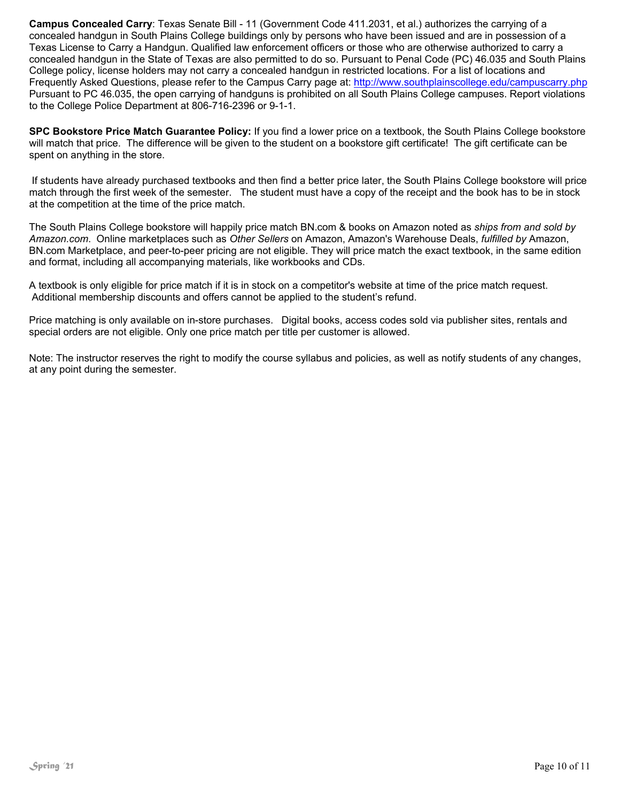**Campus Concealed Carry**: Texas Senate Bill - 11 (Government Code 411.2031, et al.) authorizes the carrying of a concealed handgun in South Plains College buildings only by persons who have been issued and are in possession of a Texas License to Carry a Handgun. Qualified law enforcement officers or those who are otherwise authorized to carry a concealed handgun in the State of Texas are also permitted to do so. Pursuant to Penal Code (PC) 46.035 and South Plains College policy, license holders may not carry a concealed handgun in restricted locations. For a list of locations and Frequently Asked Questions, please refer to the Campus Carry page at: <http://www.southplainscollege.edu/campuscarry.php> Pursuant to PC 46.035, the open carrying of handguns is prohibited on all South Plains College campuses. Report violations to the College Police Department at 806-716-2396 or 9-1-1.

**SPC Bookstore Price Match Guarantee Policy:** If you find a lower price on a textbook, the South Plains College bookstore will match that price. The difference will be given to the student on a bookstore gift certificate! The gift certificate can be spent on anything in the store.

If students have already purchased textbooks and then find a better price later, the South Plains College bookstore will price match through the first week of the semester. The student must have a copy of the receipt and the book has to be in stock at the competition at the time of the price match.

The South Plains College bookstore will happily price match BN.com & books on Amazon noted as *ships from and sold by Amazon.com*. Online marketplaces such as *Other Sellers* on Amazon, Amazon's Warehouse Deals, *fulfilled by* Amazon, BN.com Marketplace, and peer-to-peer pricing are not eligible. They will price match the exact textbook, in the same edition and format, including all accompanying materials, like workbooks and CDs.

A textbook is only eligible for price match if it is in stock on a competitor's website at time of the price match request. Additional membership discounts and offers cannot be applied to the student's refund.

Price matching is only available on in-store purchases. Digital books, access codes sold via publisher sites, rentals and special orders are not eligible. Only one price match per title per customer is allowed.

Note: The instructor reserves the right to modify the course syllabus and policies, as well as notify students of any changes, at any point during the semester.